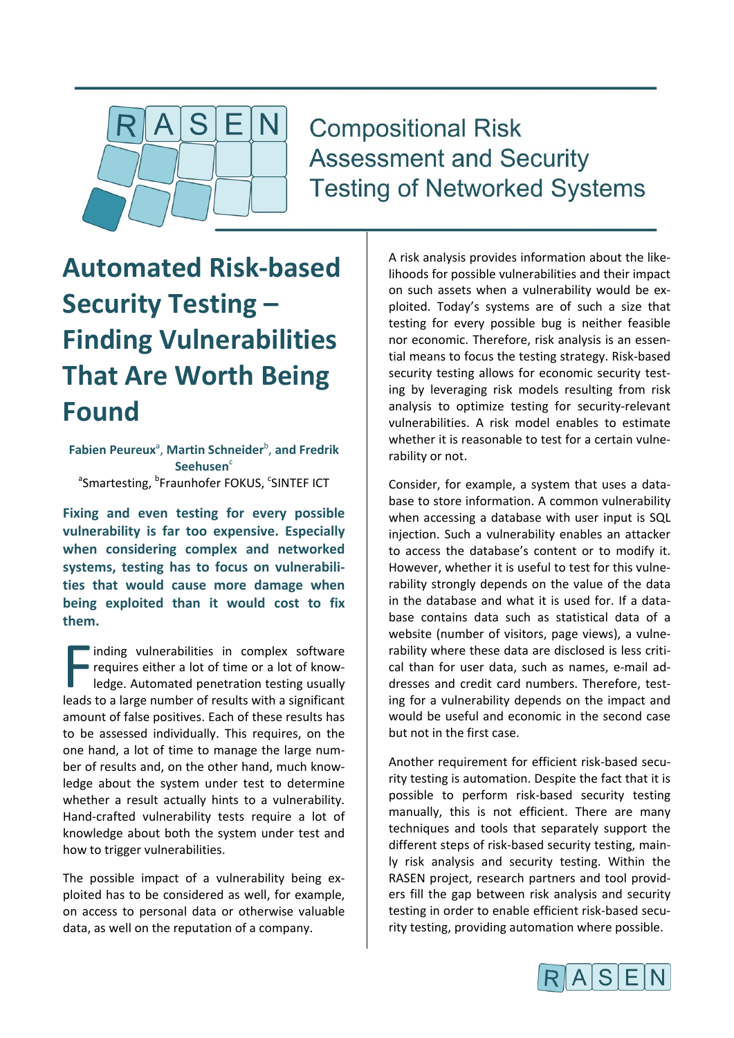

# **Compositional Risk Assessment and Security Testing of Networked Systems**

# **Automated Risk-based Security Testing – Finding Vulnerabilities That Are Worth Being Found**

Fabien Peureux<sup>a</sup>, Martin Schneider<sup>b</sup>, and Fredrik Seehusen<sup>c</sup> <sup>a</sup>Smartesting, <sup>b</sup>Fraunhofer FOKUS, <sup>c</sup>SINTEF ICT

**Fixing and even testing for every possible vulnerability is far too expensive. Especially when considering complex and networked systems, testing has to focus on vulnerabilities that would cause more damage when being exploited than it would cost to fix them.**

inding vulnerabilities in complex software requires either a lot of time or a lot of knowledge. Automated penetration testing usually Inding vulnerabilities in complex software<br>
requires either a lot of time or a lot of know-<br>
leads to a large number of results with a significant amount of false positives. Each of these results has to be assessed individually. This requires, on the one hand, a lot of time to manage the large number of results and, on the other hand, much knowledge about the system under test to determine whether a result actually hints to a vulnerability. Hand-crafted vulnerability tests require a lot of knowledge about both the system under test and how to trigger vulnerabilities.

The possible impact of a vulnerability being exploited has to be considered as well, for example, on access to personal data or otherwise valuable data, as well on the reputation of a company.

A risk analysis provides information about the likelihoods for possible vulnerabilities and their impact on such assets when a vulnerability would be exploited. Today's systems are of such a size that testing for every possible bug is neither feasible nor economic. Therefore, risk analysis is an essential means to focus the testing strategy. Risk-based security testing allows for economic security testing by leveraging risk models resulting from risk analysis to optimize testing for security-relevant vulnerabilities. A risk model enables to estimate whether it is reasonable to test for a certain vulnerability or not.

Consider, for example, a system that uses a database to store information. A common vulnerability when accessing a database with user input is SQL injection. Such a vulnerability enables an attacker to access the database's content or to modify it. However, whether it is useful to test for this vulnerability strongly depends on the value of the data in the database and what it is used for. If a database contains data such as statistical data of a website (number of visitors, page views), a vulnerability where these data are disclosed is less critical than for user data, such as names, e-mail addresses and credit card numbers. Therefore, testing for a vulnerability depends on the impact and would be useful and economic in the second case but not in the first case.

Another requirement for efficient risk-based security testing is automation. Despite the fact that it is possible to perform risk-based security testing manually, this is not efficient. There are many techniques and tools that separately support the different steps of risk-based security testing, mainly risk analysis and security testing. Within the RASEN project, research partners and tool providers fill the gap between risk analysis and security testing in order to enable efficient risk-based security testing, providing automation where possible.

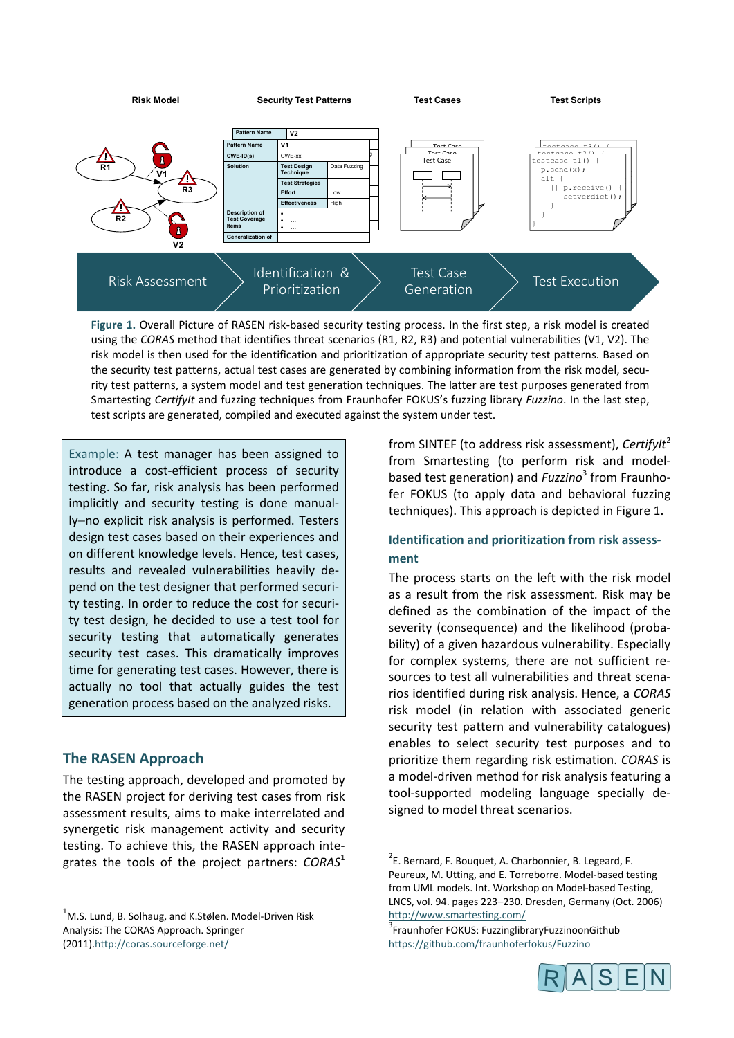

using the *CORAS* method that identifies threat scenarios (R1, R2, R3) and potential vulnerabilities (V1, V2). The risk model is then used for the identification and prioritization of appropriate security test patterns. Based on the security test patterns, actual test cases are generated by combining information from the risk model, security test patterns, a system model and test generation techniques. The latter are test purposes generated from Smartesting *CertifyIt* and fuzzing techniques from Fraunhofer FOKUS's fuzzing library *Fuzzino*. In the last step, test scripts are generated, compiled and executed against the system under test.

Example: A test manager has been assigned to introduce a cost-efficient process of security testing. So far, risk analysis has been performed implicitly and security testing is done manually−no explicit risk analysis is performed. Testers design test cases based on their experiences and on different knowledge levels. Hence, test cases, results and revealed vulnerabilities heavily depend on the test designer that performed security testing. In order to reduce the cost for security test design, he decided to use a test tool for security testing that automatically generates security test cases. This dramatically improves time for generating test cases. However, there is actually no tool that actually guides the test generation process based on the analyzed risks.

## **The RASEN Approach**

The testing approach, developed and promoted by the RASEN project for deriving test cases from risk assessment results, aims to make interrelated and synergetic risk management activity and security testing. To achieve this, the RASEN approach integrates the tools of the project partners: *CORAS*<sup>1</sup>

from SINTEF (to address risk assessment), *CertifyIt*<sup>2</sup> from Smartesting (to perform risk and modelbased test generation) and *Fuzzino*<sup>3</sup> from Fraunhofer FOKUS (to apply data and behavioral fuzzing techniques). This approach is depicted in Figure 1.

# **Identification and prioritization from risk assessment**

The process starts on the left with the risk model as a result from the risk assessment. Risk may be defined as the combination of the impact of the severity (consequence) and the likelihood (probability) of a given hazardous vulnerability. Especially for complex systems, there are not sufficient resources to test all vulnerabilities and threat scenarios identified during risk analysis. Hence, a *CORAS* risk model (in relation with associated generic security test pattern and vulnerability catalogues) enables to select security test purposes and to prioritize them regarding risk estimation. *CORAS* is a model-driven method for risk analysis featuring a tool-supported modeling language specially designed to model threat scenarios.

<sup>&</sup>lt;sup>3</sup> Fraunhofer FOKUS: FuzzinglibraryFuzzinoonGithub https://github.com/fraunhoferfokus/Fuzzino



 $\frac{1}{1}$ <sup>1</sup>M.S. Lund, B. Solhaug, and K.Stølen. Model-Driven Risk Analysis: The CORAS Approach. Springer (2011).http://coras.sourceforge.net/

 $\frac{1}{2}$  $2$ E. Bernard, F. Bouquet, A. Charbonnier, B. Legeard, F. Peureux, M. Utting, and E. Torreborre. Model-based testing from UML models. Int. Workshop on Model-based Testing, LNCS, vol. 94. pages 223–230. Dresden, Germany (Oct. 2006) http://www.smartesting.com/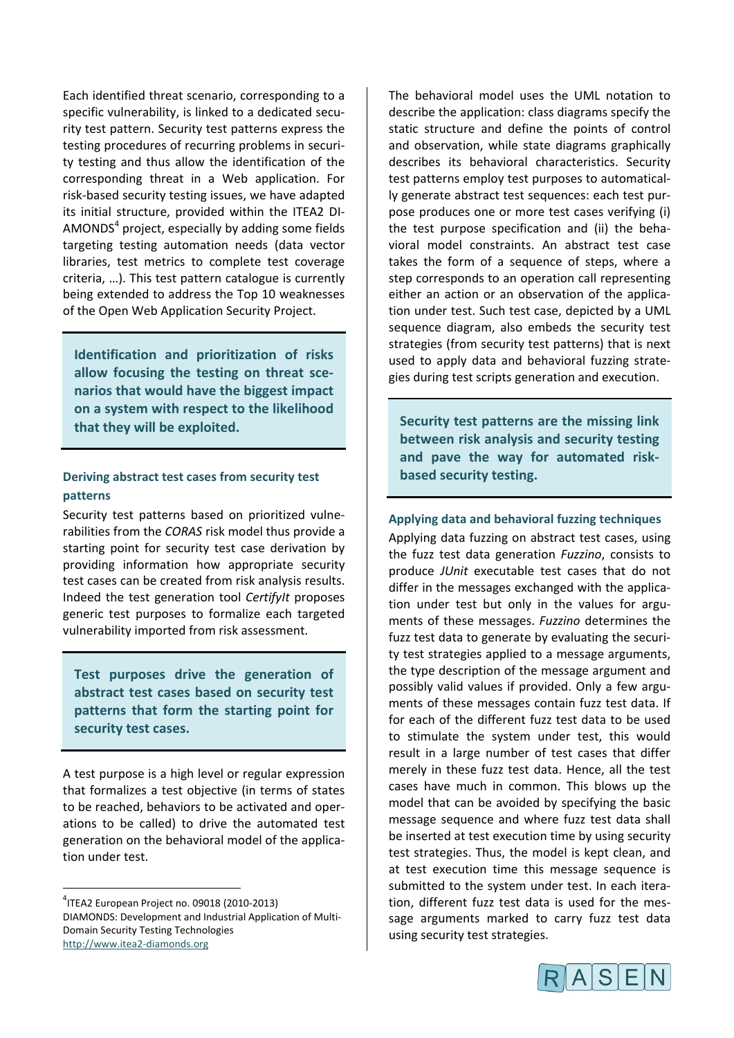Each identified threat scenario, corresponding to a specific vulnerability, is linked to a dedicated security test pattern. Security test patterns express the testing procedures of recurring problems in security testing and thus allow the identification of the corresponding threat in a Web application. For risk-based security testing issues, we have adapted its initial structure, provided within the ITEA2 DI-AMONDS $<sup>4</sup>$  project, especially by adding some fields</sup> targeting testing automation needs (data vector libraries, test metrics to complete test coverage criteria, …). This test pattern catalogue is currently being extended to address the Top 10 weaknesses of the Open Web Application Security Project.

**Identification and prioritization of risks allow focusing the testing on threat scenarios that would have the biggest impact on a system with respect to the likelihood that they will be exploited.**

#### **Deriving abstract test cases from security test patterns**

Security test patterns based on prioritized vulnerabilities from the *CORAS* risk model thus provide a starting point for security test case derivation by providing information how appropriate security test cases can be created from risk analysis results. Indeed the test generation tool *CertifyIt* proposes generic test purposes to formalize each targeted vulnerability imported from risk assessment.

**Test purposes drive the generation of abstract test cases based on security test patterns that form the starting point for security test cases.**

A test purpose is a high level or regular expression that formalizes a test objective (in terms of states to be reached, behaviors to be activated and operations to be called) to drive the automated test generation on the behavioral model of the application under test.

The behavioral model uses the UML notation to describe the application: class diagrams specify the static structure and define the points of control and observation, while state diagrams graphically describes its behavioral characteristics. Security test patterns employ test purposes to automatically generate abstract test sequences: each test purpose produces one or more test cases verifying (i) the test purpose specification and (ii) the behavioral model constraints. An abstract test case takes the form of a sequence of steps, where a step corresponds to an operation call representing either an action or an observation of the application under test. Such test case, depicted by a UML sequence diagram, also embeds the security test strategies (from security test patterns) that is next used to apply data and behavioral fuzzing strategies during test scripts generation and execution.

**Security test patterns are the missing link between risk analysis and security testing and pave the way for automated riskbased security testing.**

#### **Applying data and behavioral fuzzing techniques**

Applying data fuzzing on abstract test cases, using the fuzz test data generation *Fuzzino*, consists to produce *JUnit* executable test cases that do not differ in the messages exchanged with the application under test but only in the values for arguments of these messages. *Fuzzino* determines the fuzz test data to generate by evaluating the security test strategies applied to a message arguments, the type description of the message argument and possibly valid values if provided. Only a few arguments of these messages contain fuzz test data. If for each of the different fuzz test data to be used to stimulate the system under test, this would result in a large number of test cases that differ merely in these fuzz test data. Hence, all the test cases have much in common. This blows up the model that can be avoided by specifying the basic message sequence and where fuzz test data shall be inserted at test execution time by using security test strategies. Thus, the model is kept clean, and at test execution time this message sequence is submitted to the system under test. In each iteration, different fuzz test data is used for the message arguments marked to carry fuzz test data using security test strategies.



ــ<br>4  $11$ TEA2 European Project no. 09018 (2010-2013) DIAMONDS: Development and Industrial Application of Multi-Domain Security Testing Technologies http://www.itea2-diamonds.org